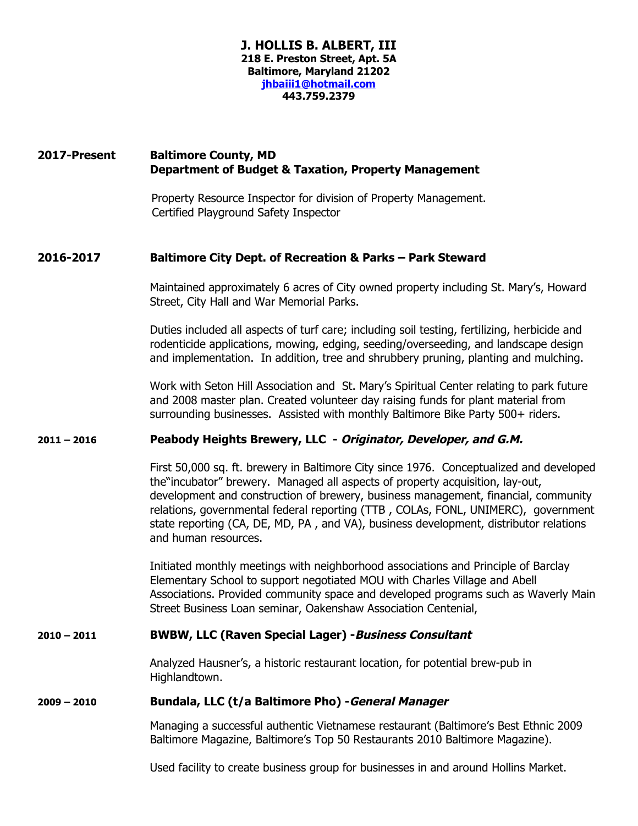#### **J. HOLLIS B. ALBERT, III 218 E. Preston Street, Apt. 5A Baltimore, Maryland 21202 [jhbaiii1@hotmail.com](mailto:jhbaiii1@hotmail.com) 443.759.2379**

## **2017-Present Baltimore County, MD Department of Budget & Taxation, Property Management**

Property Resource Inspector for division of Property Management. Certified Playground Safety Inspector

### **2016-2017 Baltimore City Dept. of Recreation & Parks – Park Steward**

Maintained approximately 6 acres of City owned property including St. Mary's, Howard Street, City Hall and War Memorial Parks.

Duties included all aspects of turf care; including soil testing, fertilizing, herbicide and rodenticide applications, mowing, edging, seeding/overseeding, and landscape design and implementation. In addition, tree and shrubbery pruning, planting and mulching.

Work with Seton Hill Association and St. Mary's Spiritual Center relating to park future and 2008 master plan. Created volunteer day raising funds for plant material from surrounding businesses. Assisted with monthly Baltimore Bike Party 500+ riders.

### **2011 – 2016 Peabody Heights Brewery, LLC - Originator, Developer, and G.M.**

First 50,000 sq. ft. brewery in Baltimore City since 1976. Conceptualized and developed the"incubator" brewery. Managed all aspects of property acquisition, lay-out, development and construction of brewery, business management, financial, community relations, governmental federal reporting (TTB , COLAs, FONL, UNIMERC), government state reporting (CA, DE, MD, PA , and VA), business development, distributor relations and human resources.

Initiated monthly meetings with neighborhood associations and Principle of Barclay Elementary School to support negotiated MOU with Charles Village and Abell Associations. Provided community space and developed programs such as Waverly Main Street Business Loan seminar, Oakenshaw Association Centenial,

### **2010 – 2011 BWBW, LLC (Raven Special Lager) -Business Consultant**

Analyzed Hausner's, a historic restaurant location, for potential brew-pub in Highlandtown.

#### **2009 – 2010 Bundala, LLC (t/a Baltimore Pho) -General Manager**

Managing a successful authentic Vietnamese restaurant (Baltimore's Best Ethnic 2009 Baltimore Magazine, Baltimore's Top 50 Restaurants 2010 Baltimore Magazine).

Used facility to create business group for businesses in and around Hollins Market.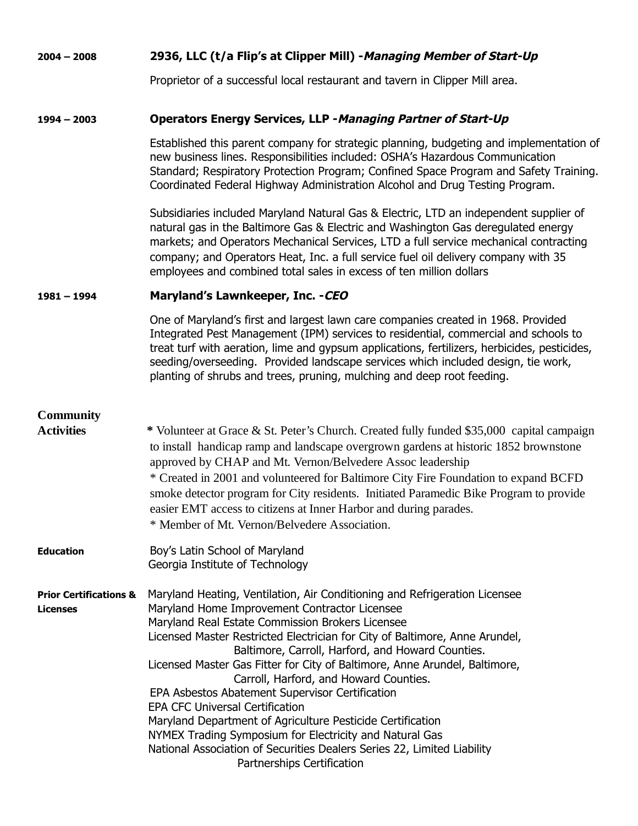## **2004 – 2008 2936, LLC (t/a Flip's at Clipper Mill) -Managing Member of Start-Up**

Proprietor of a successful local restaurant and tavern in Clipper Mill area.

## **1994 – 2003 Operators Energy Services, LLP -Managing Partner of Start-Up**

Established this parent company for strategic planning, budgeting and implementation of new business lines. Responsibilities included: OSHA's Hazardous Communication Standard; Respiratory Protection Program; Confined Space Program and Safety Training. Coordinated Federal Highway Administration Alcohol and Drug Testing Program.

Subsidiaries included Maryland Natural Gas & Electric, LTD an independent supplier of natural gas in the Baltimore Gas & Electric and Washington Gas deregulated energy markets; and Operators Mechanical Services, LTD a full service mechanical contracting company; and Operators Heat, Inc. a full service fuel oil delivery company with 35 employees and combined total sales in excess of ten million dollars

### **1981 – 1994 Maryland's Lawnkeeper, Inc. -CEO**

One of Maryland's first and largest lawn care companies created in 1968. Provided Integrated Pest Management (IPM) services to residential, commercial and schools to treat turf with aeration, lime and gypsum applications, fertilizers, herbicides, pesticides, seeding/overseeding. Provided landscape services which included design, tie work, planting of shrubs and trees, pruning, mulching and deep root feeding.

# **Community**

| <b>Activities</b>                                    | * Volunteer at Grace & St. Peter's Church. Created fully funded \$35,000 capital campaign<br>to install handicap ramp and landscape overgrown gardens at historic 1852 brownstone<br>approved by CHAP and Mt. Vernon/Belvedere Assoc leadership<br>* Created in 2001 and volunteered for Baltimore City Fire Foundation to expand BCFD<br>smoke detector program for City residents. Initiated Paramedic Bike Program to provide<br>easier EMT access to citizens at Inner Harbor and during parades.<br>* Member of Mt. Vernon/Belvedere Association.                                                                                                                                                                                                                     |
|------------------------------------------------------|----------------------------------------------------------------------------------------------------------------------------------------------------------------------------------------------------------------------------------------------------------------------------------------------------------------------------------------------------------------------------------------------------------------------------------------------------------------------------------------------------------------------------------------------------------------------------------------------------------------------------------------------------------------------------------------------------------------------------------------------------------------------------|
| <b>Education</b>                                     | Boy's Latin School of Maryland<br>Georgia Institute of Technology                                                                                                                                                                                                                                                                                                                                                                                                                                                                                                                                                                                                                                                                                                          |
| <b>Prior Certifications &amp;</b><br><b>Licenses</b> | Maryland Heating, Ventilation, Air Conditioning and Refrigeration Licensee<br>Maryland Home Improvement Contractor Licensee<br>Maryland Real Estate Commission Brokers Licensee<br>Licensed Master Restricted Electrician for City of Baltimore, Anne Arundel,<br>Baltimore, Carroll, Harford, and Howard Counties.<br>Licensed Master Gas Fitter for City of Baltimore, Anne Arundel, Baltimore,<br>Carroll, Harford, and Howard Counties.<br>EPA Asbestos Abatement Supervisor Certification<br><b>EPA CFC Universal Certification</b><br>Maryland Department of Agriculture Pesticide Certification<br>NYMEX Trading Symposium for Electricity and Natural Gas<br>National Association of Securities Dealers Series 22, Limited Liability<br>Partnerships Certification |